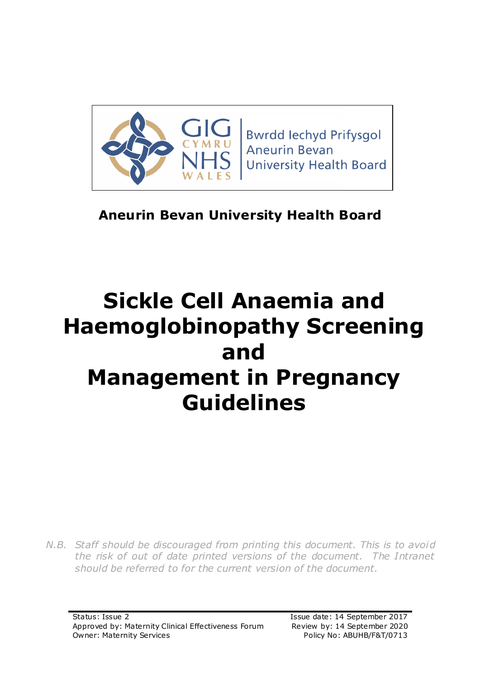

**Bwrdd lechyd Prifysgol Aneurin Bevan University Health Board** 

# **Aneurin Bevan University Health Board**

# **Sickle Cell Anaemia and Haemoglobinopathy Screening and Management in Pregnancy Guidelines**

*N.B. Staff should be discouraged from printing this document. This is to avoid the risk of out of date printed versions of the document. The Intranet should be referred to for the current version of the document.*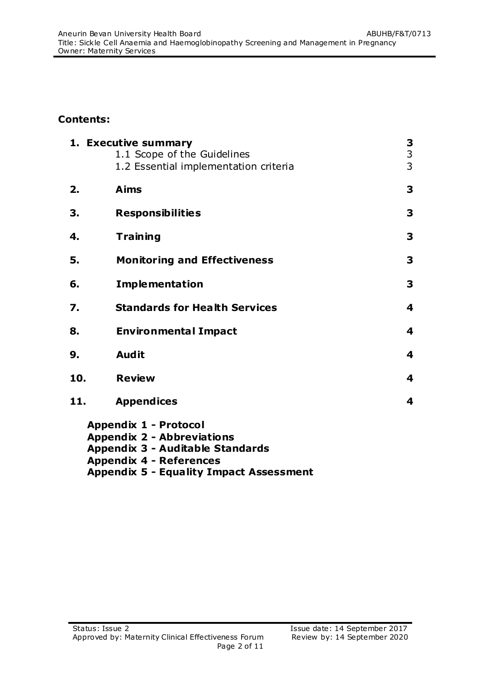#### **Contents:**

|     | 1. Executive summary<br>1.1 Scope of the Guidelines<br>1.2 Essential implementation criteria                 | 3<br>3<br>3             |
|-----|--------------------------------------------------------------------------------------------------------------|-------------------------|
| 2.  | <b>Aims</b>                                                                                                  | 3                       |
| 3.  | <b>Responsibilities</b>                                                                                      | 3                       |
| 4.  | <b>Training</b>                                                                                              | 3                       |
| 5.  | <b>Monitoring and Effectiveness</b>                                                                          | 3                       |
| 6.  | <b>Implementation</b>                                                                                        | 3                       |
| 7.  | <b>Standards for Health Services</b>                                                                         | 4                       |
| 8.  | <b>Environmental Impact</b>                                                                                  | 4                       |
| 9.  | <b>Audit</b>                                                                                                 | 4                       |
| 10. | <b>Review</b>                                                                                                | 4                       |
| 11. | <b>Appendices</b>                                                                                            | $\overline{\mathbf{4}}$ |
|     | <b>Appendix 1 - Protocol</b><br><b>Appendix 2 - Abbreviations</b><br><b>Appendix 3 - Auditable Standards</b> |                         |

**Appendix 4 - References**

**Appendix 5 - Equality Impact Assessment**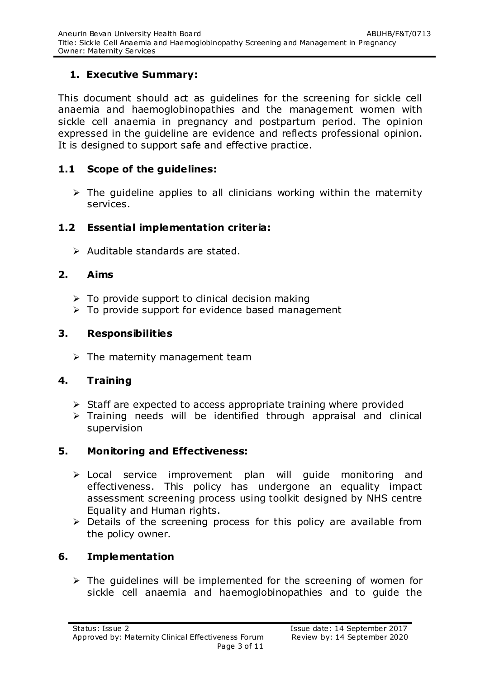## **1. Executive Summary:**

This document should act as quidelines for the screening for sickle cell anaemia and haemoglobinopathies and the management women with sickle cell anaemia in pregnancy and postpartum period. The opinion expressed in the guideline are evidence and reflects professional opinion. It is designed to support safe and effective practice.

#### **1.1 Scope of the guidelines:**

 $\triangleright$  The quideline applies to all clinicians working within the maternity services.

#### **1.2 Essential implementation criteria:**

 $\triangleright$  Auditable standards are stated.

## **2. Aims**

- $\triangleright$  To provide support to clinical decision making
- $\triangleright$  To provide support for evidence based management

#### **3. Responsibilities**

 $\triangleright$  The maternity management team

## **4. Training**

- $\triangleright$  Staff are expected to access appropriate training where provided
- $\triangleright$  Training needs will be identified through appraisal and clinical supervision

## **5. Monitoring and Effectiveness:**

- Local service improvement plan will guide monitoring and effectiveness. This policy has undergone an equality impact assessment screening process using toolkit designed by NHS centre Equality and Human rights.
- $\triangleright$  Details of the screening process for this policy are available from the policy owner.

## **6. Implementation**

 $\triangleright$  The quidelines will be implemented for the screening of women for sickle cell anaemia and haemoglobinopathies and to guide the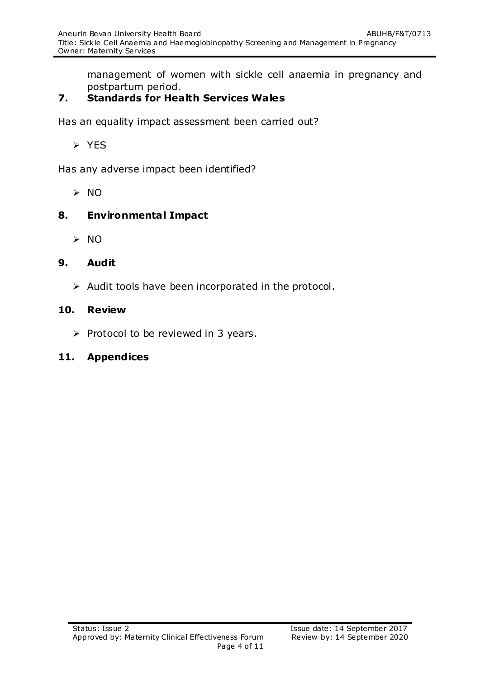management of women with sickle cell anaemia in pregnancy and postpartum period.

# **7. Standards for Health Services Wales**

Has an equality impact assessment been carried out?

 $\triangleright$  YES

Has any adverse impact been identified?

 $> 0$ 

#### **8. Environmental Impact**

 $> NO$ 

#### **9. Audit**

 $\triangleright$  Audit tools have been incorporated in the protocol.

#### **10. Review**

 $\triangleright$  Protocol to be reviewed in 3 years.

## **11. Appendices**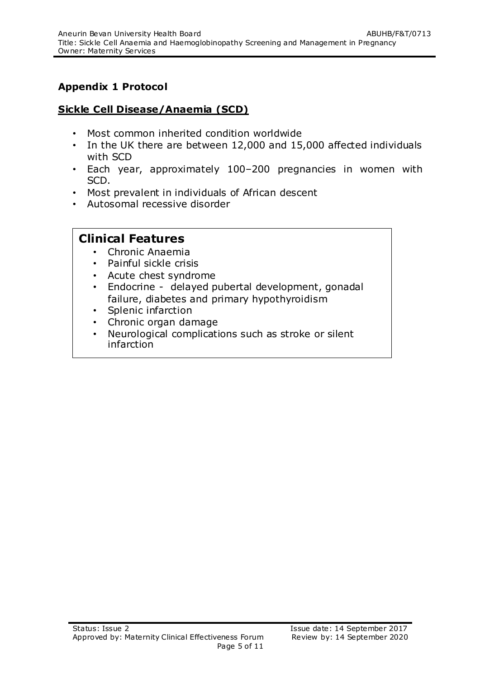# **Appendix 1 Protocol**

#### **Sickle Cell Disease/Anaemia (SCD)**

- Most common inherited condition worldwide
- In the UK there are between 12,000 and 15,000 affected individuals with SCD
- Each year, approximately 100–200 pregnancies in women with SCD.
- Most prevalent in individuals of African descent
- Autosomal recessive disorder

## **Clinical Features**

- Chronic Anaemia
- Painful sickle crisis
- Acute chest syndrome
- Endocrine delayed pubertal development, gonadal failure, diabetes and primary hypothyroidism
- Splenic infarction
- Chronic organ damage
- Neurological complications such as stroke or silent infarction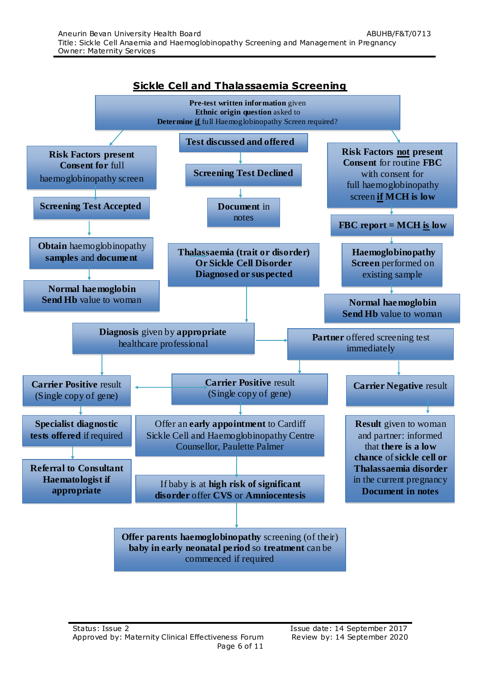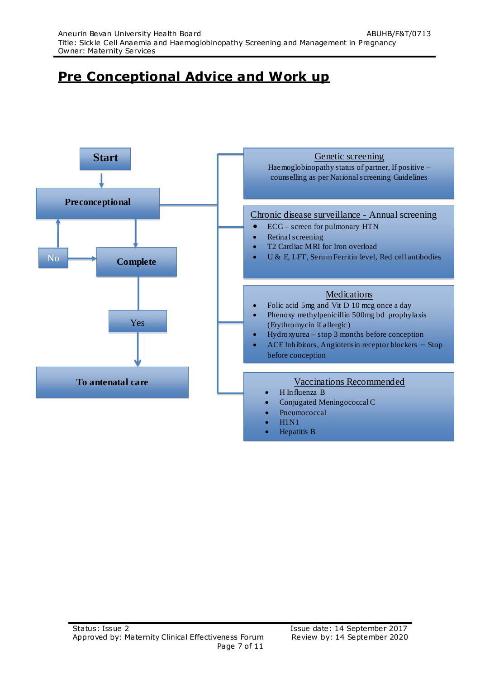# **Pre Conceptional Advice and Work up**

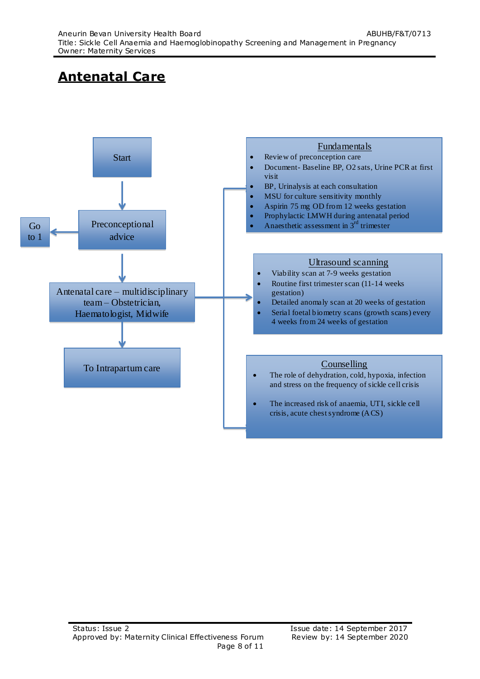# **Antenatal Care**

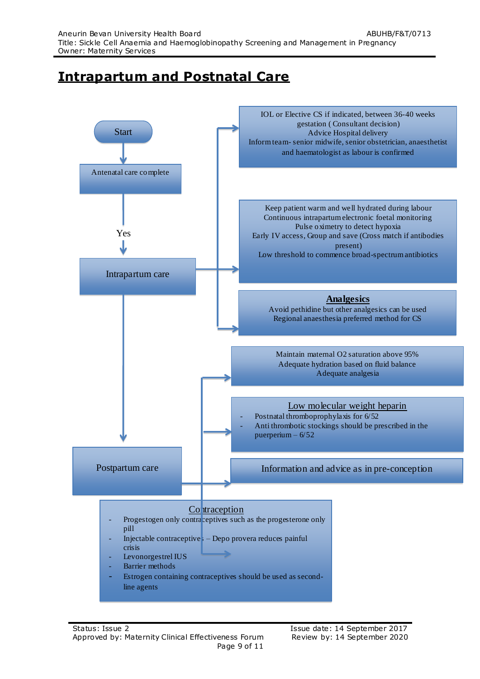# **Intrapartum and Postnatal Care**

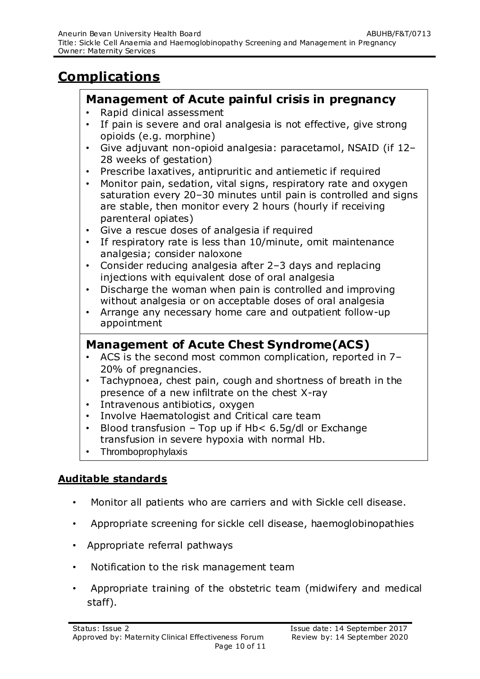# **Complications**

## **Management of Acute painful crisis in pregnancy**

- Rapid dinical assessment
- If pain is severe and oral analgesia is not effective, give strong opioids (e.g. morphine)
- Give adjuvant non-opioid analgesia: paracetamol, NSAID (if 12– 28 weeks of gestation)
- Prescribe laxatives, antipruritic and antiemetic if required
- Monitor pain, sedation, vital signs, respiratory rate and oxygen saturation every 20–30 minutes until pain is controlled and signs are stable, then monitor every 2 hours (hourly if receiving parenteral opiates)
- Give a rescue doses of analgesia if required
- If respiratory rate is less than 10/minute, omit maintenance analgesia; consider naloxone
- Consider reducing analgesia after 2–3 days and replacing injections with equivalent dose of oral analgesia
- Discharge the woman when pain is controlled and improving without analgesia or on acceptable doses of oral analgesia
- Arrange any necessary home care and outpatient follow-up appointment

# **Management of Acute Chest Syndrome(ACS)**

- ACS is the second most common complication, reported in 7– 20% of pregnancies.
- Tachypnoea, chest pain, cough and shortness of breath in the presence of a new infiltrate on the chest X-ray
- Intravenous antibiotics, oxygen
- Involve Haematologist and Critical care team
- Blood transfusion Top up if Hb< 6.5g/dl or Exchange transfusion in severe hypoxia with normal Hb.
- Thromboprophylaxis

# **Auditable standards**

- Monitor all patients who are carriers and with Sickle cell disease.
- Appropriate screening for sickle cell disease, haemoglobinopathies
- Appropriate referral pathways
- Notification to the risk management team
- Appropriate training of the obstetric team (midwifery and medical staff).